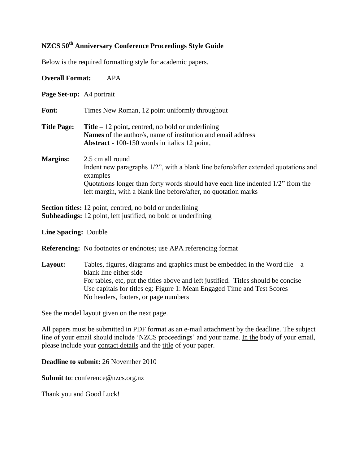# **NZCS 50th Anniversary Conference Proceedings Style Guide**

Below is the required formatting style for academic papers.

| <b>Overall Format:</b>                                                                                                     | <b>APA</b>                                                                                                                                                                                                                                                                                                        |  |  |
|----------------------------------------------------------------------------------------------------------------------------|-------------------------------------------------------------------------------------------------------------------------------------------------------------------------------------------------------------------------------------------------------------------------------------------------------------------|--|--|
| Page Set-up: A4 portrait                                                                                                   |                                                                                                                                                                                                                                                                                                                   |  |  |
| Font:                                                                                                                      | Times New Roman, 12 point uniformly throughout                                                                                                                                                                                                                                                                    |  |  |
| <b>Title Page:</b>                                                                                                         | <b>Title</b> $-12$ point, centred, no bold or underlining<br>Names of the author/s, name of institution and email address<br><b>Abstract - 100-150</b> words in italics 12 point,                                                                                                                                 |  |  |
| <b>Margins:</b>                                                                                                            | 2.5 cm all round<br>Indent new paragraphs 1/2", with a blank line before/after extended quotations and<br>examples<br>Quotations longer than forty words should have each line indented 1/2" from the<br>left margin, with a blank line before/after, no quotation marks                                          |  |  |
| Section titles: 12 point, centred, no bold or underlining<br>Subheadings: 12 point, left justified, no bold or underlining |                                                                                                                                                                                                                                                                                                                   |  |  |
| <b>Line Spacing: Double</b>                                                                                                |                                                                                                                                                                                                                                                                                                                   |  |  |
|                                                                                                                            | Referencing: No footnotes or endnotes; use APA referencing format                                                                                                                                                                                                                                                 |  |  |
| Layout:                                                                                                                    | Tables, figures, diagrams and graphics must be embedded in the Word file $-$ a<br>blank line either side<br>For tables, etc, put the titles above and left justified. Titles should be concise<br>Use capitals for titles eg: Figure 1: Mean Engaged Time and Test Scores<br>No headers, footers, or page numbers |  |  |
|                                                                                                                            | See the model layout given on the next page.                                                                                                                                                                                                                                                                      |  |  |

All papers must be submitted in PDF format as an e-mail attachment by the deadline. The subject line of your email should include 'NZCS proceedings' and your name. In the body of your email, please include your contact details and the title of your paper.

**Deadline to submit:** 26 November 2010

**Submit to: conference@nzcs.org.nz** 

Thank you and Good Luck!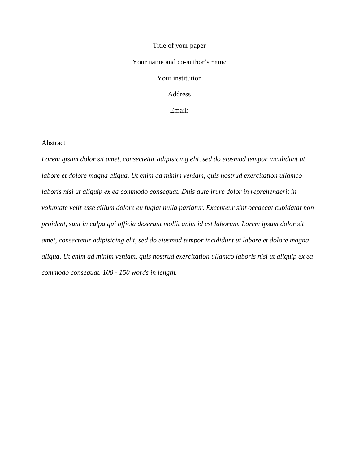# Title of your paper Your name and co-author's name Your institution Address Email:

#### Abstract

*Lorem ipsum dolor sit amet, consectetur adipisicing elit, sed do eiusmod tempor incididunt ut labore et dolore magna aliqua. Ut enim ad minim veniam, quis nostrud exercitation ullamco laboris nisi ut aliquip ex ea commodo consequat. Duis aute irure dolor in reprehenderit in voluptate velit esse cillum dolore eu fugiat nulla pariatur. Excepteur sint occaecat cupidatat non proident, sunt in culpa qui officia deserunt mollit anim id est laborum. Lorem ipsum dolor sit amet, consectetur adipisicing elit, sed do eiusmod tempor incididunt ut labore et dolore magna aliqua. Ut enim ad minim veniam, quis nostrud exercitation ullamco laboris nisi ut aliquip ex ea commodo consequat. 100 - 150 words in length.*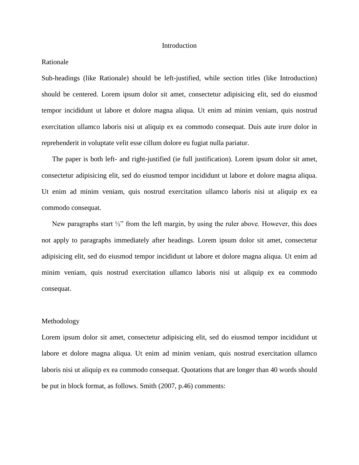#### Introduction

#### Rationale

Sub-headings (like Rationale) should be left-justified, while section titles (like Introduction) should be centered. Lorem ipsum dolor sit amet, consectetur adipisicing elit, sed do eiusmod tempor incididunt ut labore et dolore magna aliqua. Ut enim ad minim veniam, quis nostrud exercitation ullamco laboris nisi ut aliquip ex ea commodo consequat. Duis aute irure dolor in reprehenderit in voluptate velit esse cillum dolore eu fugiat nulla pariatur.

The paper is both left- and right-justified (ie full justification). Lorem ipsum dolor sit amet, consectetur adipisicing elit, sed do eiusmod tempor incididunt ut labore et dolore magna aliqua. Ut enim ad minim veniam, quis nostrud exercitation ullamco laboris nisi ut aliquip ex ea commodo consequat.

New paragraphs start  $\frac{1}{2}$ " from the left margin, by using the ruler above. However, this does not apply to paragraphs immediately after headings. Lorem ipsum dolor sit amet, consectetur adipisicing elit, sed do eiusmod tempor incididunt ut labore et dolore magna aliqua. Ut enim ad minim veniam, quis nostrud exercitation ullamco laboris nisi ut aliquip ex ea commodo consequat.

#### Methodology

Lorem ipsum dolor sit amet, consectetur adipisicing elit, sed do eiusmod tempor incididunt ut labore et dolore magna aliqua. Ut enim ad minim veniam, quis nostrud exercitation ullamco laboris nisi ut aliquip ex ea commodo consequat. Quotations that are longer than 40 words should be put in block format, as follows. Smith (2007, p.46) comments: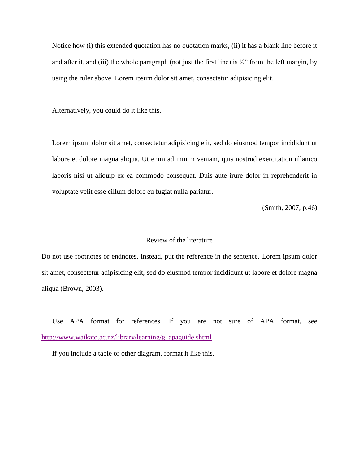Notice how (i) this extended quotation has no quotation marks, (ii) it has a blank line before it and after it, and (iii) the whole paragraph (not just the first line) is  $\frac{1}{2}$ " from the left margin, by using the ruler above. Lorem ipsum dolor sit amet, consectetur adipisicing elit.

Alternatively, you could do it like this.

Lorem ipsum dolor sit amet, consectetur adipisicing elit, sed do eiusmod tempor incididunt ut labore et dolore magna aliqua. Ut enim ad minim veniam, quis nostrud exercitation ullamco laboris nisi ut aliquip ex ea commodo consequat. Duis aute irure dolor in reprehenderit in voluptate velit esse cillum dolore eu fugiat nulla pariatur.

(Smith, 2007, p.46)

### Review of the literature

Do not use footnotes or endnotes. Instead, put the reference in the sentence. Lorem ipsum dolor sit amet, consectetur adipisicing elit, sed do eiusmod tempor incididunt ut labore et dolore magna aliqua (Brown, 2003).

Use APA format for references. If you are not sure of APA format, see [http://www.waikato.ac.nz/library/learning/g\\_apaguide.shtml](http://www.waikato.ac.nz/library/learning/g_apaguide.shtml)

If you include a table or other diagram, format it like this.